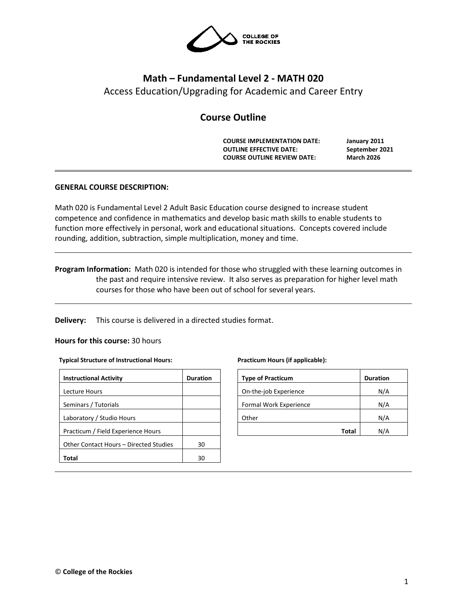

# **Math – Fundamental Level 2 - MATH 020** Access Education/Upgrading for Academic and Career Entry

# **Course Outline**

**COURSE IMPLEMENTATION DATE: January 2011 OUTLINE EFFECTIVE DATE: September 2021 COURSE OUTLINE REVIEW DATE: March 2026**

# **GENERAL COURSE DESCRIPTION:**

Math 020 is Fundamental Level 2 Adult Basic Education course designed to increase student competence and confidence in mathematics and develop basic math skills to enable students to function more effectively in personal, work and educational situations. Concepts covered include rounding, addition, subtraction, simple multiplication, money and time.

**Program Information:** Math 020 is intended for those who struggled with these learning outcomes in the past and require intensive review. It also serves as preparation for higher level math courses for those who have been out of school for several years.

**Delivery:** This course is delivered in a directed studies format.

# **Hours for this course:** 30 hours

#### **Typical Structure of Instructional Hours:**

| <b>Duration</b> |
|-----------------|
|                 |
|                 |
|                 |
|                 |
| 30              |
| RО              |
|                 |

### **Practicum Hours (if applicable):**

| <b>Type of Practicum</b> | <b>Duration</b> |
|--------------------------|-----------------|
| On-the-job Experience    | N/A             |
| Formal Work Experience   | N/A             |
| Other                    | N/A             |
| Total                    | N/A             |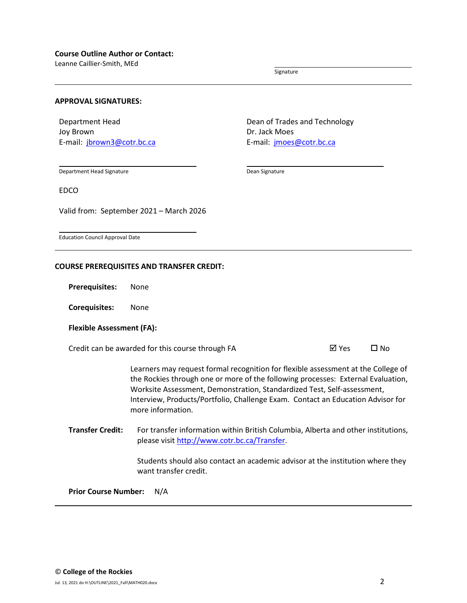Leanne Caillier-Smith, MEd

Signature

## **APPROVAL SIGNATURES:**

Department Head Joy Brown E-mail: [jbrown3@cotr.bc.ca](mailto:jbrown3@cotr.bc.ca) Dean of Trades and Technology Dr. Jack Moes E-mail: *[jmoes@cotr.bc.ca](mailto:jmoes@cotr.bc.ca)* 

Department Head Signature

Dean Signature

EDCO

Valid from: September 2021 – March 2026

Education Council Approval Date

## **COURSE PREREQUISITES AND TRANSFER CREDIT:**

**Prerequisites:** None

**Corequisites:** None

## **Flexible Assessment (FA):**

Credit can be awarded for this course through FA  $\boxtimes$  Yes  $\Box$  No

Learners may request formal recognition for flexible assessment at the College of the Rockies through one or more of the following processes: External Evaluation, Worksite Assessment, Demonstration, Standardized Test, Self-assessment, Interview, Products/Portfolio, Challenge Exam. Contact an Education Advisor for more information.

**Transfer Credit:** For transfer information within British Columbia, Alberta and other institutions, please visit [http://www.cotr.bc.ca/Transfer.](http://www.cotr.bc.ca/Transfer)

> Students should also contact an academic advisor at the institution where they want transfer credit.

**Prior Course Number:** N/A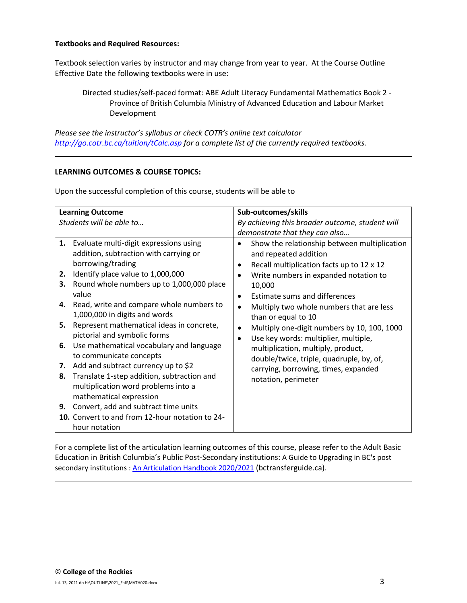# **Textbooks and Required Resources:**

Textbook selection varies by instructor and may change from year to year. At the Course Outline Effective Date the following textbooks were in use:

Directed studies/self-paced format: ABE Adult Literacy Fundamental Mathematics Book 2 - Province of British Columbia Ministry of Advanced Education and Labour Market Development

*Please see the instructor's syllabus or check COTR's online text calculator <http://go.cotr.bc.ca/tuition/tCalc.asp> for a complete list of the currently required textbooks.*

# **LEARNING OUTCOMES & COURSE TOPICS:**

Upon the successful completion of this course, students will be able to

|                                        | <b>Learning Outcome</b>                                                                                                                                                                                                                                                                                                                                                                                                                                                                                                                                                                                                                                                                                    | Sub-outcomes/skills                                                                                                                                                                                                                                                                                                                                                                                                                                                                                                                                |  |
|----------------------------------------|------------------------------------------------------------------------------------------------------------------------------------------------------------------------------------------------------------------------------------------------------------------------------------------------------------------------------------------------------------------------------------------------------------------------------------------------------------------------------------------------------------------------------------------------------------------------------------------------------------------------------------------------------------------------------------------------------------|----------------------------------------------------------------------------------------------------------------------------------------------------------------------------------------------------------------------------------------------------------------------------------------------------------------------------------------------------------------------------------------------------------------------------------------------------------------------------------------------------------------------------------------------------|--|
| Students will be able to               |                                                                                                                                                                                                                                                                                                                                                                                                                                                                                                                                                                                                                                                                                                            | By achieving this broader outcome, student will                                                                                                                                                                                                                                                                                                                                                                                                                                                                                                    |  |
|                                        |                                                                                                                                                                                                                                                                                                                                                                                                                                                                                                                                                                                                                                                                                                            | demonstrate that they can also                                                                                                                                                                                                                                                                                                                                                                                                                                                                                                                     |  |
| 2.<br>3.<br>5.<br>6.<br>7.<br>8.<br>9. | 1. Evaluate multi-digit expressions using<br>addition, subtraction with carrying or<br>borrowing/trading<br>Identify place value to 1,000,000<br>Round whole numbers up to 1,000,000 place<br>value<br>4. Read, write and compare whole numbers to<br>1,000,000 in digits and words<br>Represent mathematical ideas in concrete,<br>pictorial and symbolic forms<br>Use mathematical vocabulary and language<br>to communicate concepts<br>Add and subtract currency up to \$2<br>Translate 1-step addition, subtraction and<br>multiplication word problems into a<br>mathematical expression<br>Convert, add and subtract time units<br>10. Convert to and from 12-hour notation to 24-<br>hour notation | Show the relationship between multiplication<br>$\bullet$<br>and repeated addition<br>Recall multiplication facts up to 12 x 12<br>Write numbers in expanded notation to<br>10,000<br><b>Estimate sums and differences</b><br>$\bullet$<br>Multiply two whole numbers that are less<br>than or equal to 10<br>Multiply one-digit numbers by 10, 100, 1000<br>Use key words: multiplier, multiple,<br>multiplication, multiply, product,<br>double/twice, triple, quadruple, by, of,<br>carrying, borrowing, times, expanded<br>notation, perimeter |  |

For a complete list of the articulation learning outcomes of this course, please refer to the Adult Basic Education in British Columbia's Public Post-Secondary institutions: A Guide to Upgrading in BC's post secondary institutions : [An Articulation Handbook 2020/2021](https://www.bctransferguide.ca/docs/ABE2020.pdf) (bctransferguide.ca).